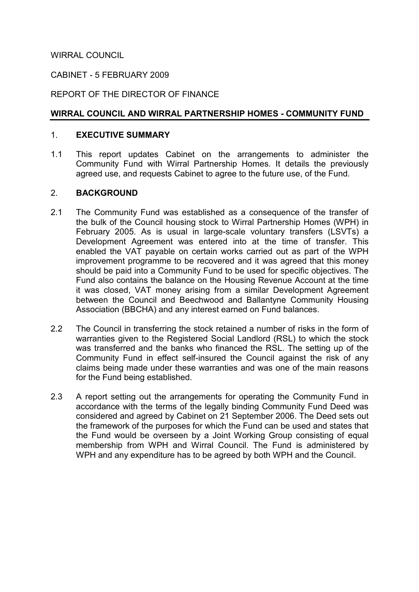WIRRAL COUNCIL

# CABINET - 5 FEBRUARY 2009

# REPORT OF THE DIRECTOR OF FINANCE

# WIRRAL COUNCIL AND WIRRAL PARTNERSHIP HOMES - COMMUNITY FUND

### 1. EXECUTIVE SUMMARY

1.1 This report updates Cabinet on the arrangements to administer the Community Fund with Wirral Partnership Homes. It details the previously agreed use, and requests Cabinet to agree to the future use, of the Fund.

### 2. BACKGROUND

- 2.1 The Community Fund was established as a consequence of the transfer of the bulk of the Council housing stock to Wirral Partnership Homes (WPH) in February 2005. As is usual in large-scale voluntary transfers (LSVTs) a Development Agreement was entered into at the time of transfer. This enabled the VAT payable on certain works carried out as part of the WPH improvement programme to be recovered and it was agreed that this money should be paid into a Community Fund to be used for specific objectives. The Fund also contains the balance on the Housing Revenue Account at the time it was closed, VAT money arising from a similar Development Agreement between the Council and Beechwood and Ballantyne Community Housing Association (BBCHA) and any interest earned on Fund balances.
- 2.2 The Council in transferring the stock retained a number of risks in the form of warranties given to the Registered Social Landlord (RSL) to which the stock was transferred and the banks who financed the RSL. The setting up of the Community Fund in effect self-insured the Council against the risk of any claims being made under these warranties and was one of the main reasons for the Fund being established.
- 2.3 A report setting out the arrangements for operating the Community Fund in accordance with the terms of the legally binding Community Fund Deed was considered and agreed by Cabinet on 21 September 2006. The Deed sets out the framework of the purposes for which the Fund can be used and states that the Fund would be overseen by a Joint Working Group consisting of equal membership from WPH and Wirral Council. The Fund is administered by WPH and any expenditure has to be agreed by both WPH and the Council.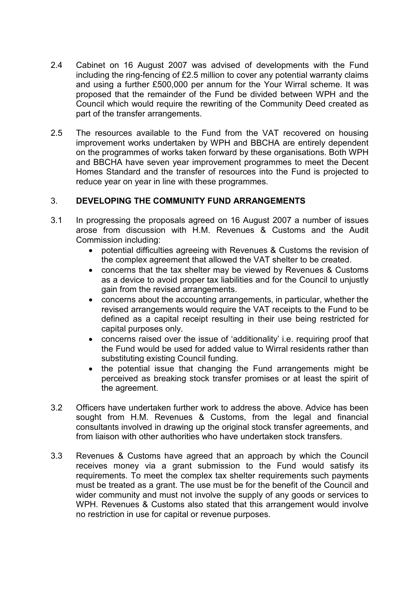- 2.4 Cabinet on 16 August 2007 was advised of developments with the Fund including the ring-fencing of £2.5 million to cover any potential warranty claims and using a further £500,000 per annum for the Your Wirral scheme. It was proposed that the remainder of the Fund be divided between WPH and the Council which would require the rewriting of the Community Deed created as part of the transfer arrangements.
- 2.5 The resources available to the Fund from the VAT recovered on housing improvement works undertaken by WPH and BBCHA are entirely dependent on the programmes of works taken forward by these organisations. Both WPH and BBCHA have seven year improvement programmes to meet the Decent Homes Standard and the transfer of resources into the Fund is projected to reduce year on year in line with these programmes.

# 3. DEVELOPING THE COMMUNITY FUND ARRANGEMENTS

- 3.1 In progressing the proposals agreed on 16 August 2007 a number of issues arose from discussion with H.M. Revenues & Customs and the Audit Commission including:
	- potential difficulties agreeing with Revenues & Customs the revision of the complex agreement that allowed the VAT shelter to be created.
	- concerns that the tax shelter may be viewed by Revenues & Customs as a device to avoid proper tax liabilities and for the Council to unjustly gain from the revised arrangements.
	- concerns about the accounting arrangements, in particular, whether the revised arrangements would require the VAT receipts to the Fund to be defined as a capital receipt resulting in their use being restricted for capital purposes only.
	- concerns raised over the issue of 'additionality' i.e. requiring proof that the Fund would be used for added value to Wirral residents rather than substituting existing Council funding.
	- the potential issue that changing the Fund arrangements might be perceived as breaking stock transfer promises or at least the spirit of the agreement.
- 3.2 Officers have undertaken further work to address the above. Advice has been sought from H.M. Revenues & Customs, from the legal and financial consultants involved in drawing up the original stock transfer agreements, and from liaison with other authorities who have undertaken stock transfers.
- 3.3 Revenues & Customs have agreed that an approach by which the Council receives money via a grant submission to the Fund would satisfy its requirements. To meet the complex tax shelter requirements such payments must be treated as a grant. The use must be for the benefit of the Council and wider community and must not involve the supply of any goods or services to WPH. Revenues & Customs also stated that this arrangement would involve no restriction in use for capital or revenue purposes.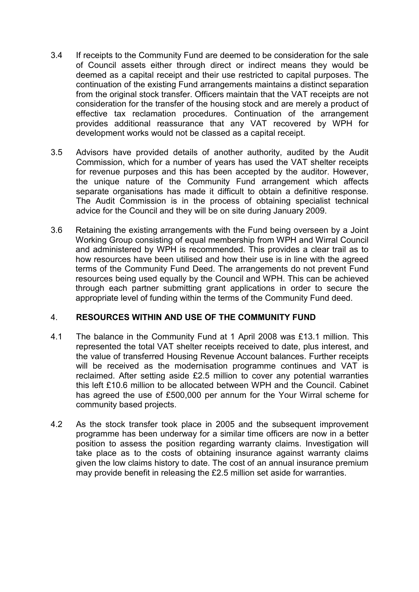- 3.4 If receipts to the Community Fund are deemed to be consideration for the sale of Council assets either through direct or indirect means they would be deemed as a capital receipt and their use restricted to capital purposes. The continuation of the existing Fund arrangements maintains a distinct separation from the original stock transfer. Officers maintain that the VAT receipts are not consideration for the transfer of the housing stock and are merely a product of effective tax reclamation procedures. Continuation of the arrangement provides additional reassurance that any VAT recovered by WPH for development works would not be classed as a capital receipt.
- 3.5 Advisors have provided details of another authority, audited by the Audit Commission, which for a number of years has used the VAT shelter receipts for revenue purposes and this has been accepted by the auditor. However, the unique nature of the Community Fund arrangement which affects separate organisations has made it difficult to obtain a definitive response. The Audit Commission is in the process of obtaining specialist technical advice for the Council and they will be on site during January 2009.
- 3.6 Retaining the existing arrangements with the Fund being overseen by a Joint Working Group consisting of equal membership from WPH and Wirral Council and administered by WPH is recommended. This provides a clear trail as to how resources have been utilised and how their use is in line with the agreed terms of the Community Fund Deed. The arrangements do not prevent Fund resources being used equally by the Council and WPH. This can be achieved through each partner submitting grant applications in order to secure the appropriate level of funding within the terms of the Community Fund deed.

# 4. RESOURCES WITHIN AND USE OF THE COMMUNITY FUND

- 4.1 The balance in the Community Fund at 1 April 2008 was £13.1 million. This represented the total VAT shelter receipts received to date, plus interest, and the value of transferred Housing Revenue Account balances. Further receipts will be received as the modernisation programme continues and VAT is reclaimed. After setting aside £2.5 million to cover any potential warranties this left £10.6 million to be allocated between WPH and the Council. Cabinet has agreed the use of £500,000 per annum for the Your Wirral scheme for community based projects.
- 4.2 As the stock transfer took place in 2005 and the subsequent improvement programme has been underway for a similar time officers are now in a better position to assess the position regarding warranty claims. Investigation will take place as to the costs of obtaining insurance against warranty claims given the low claims history to date. The cost of an annual insurance premium may provide benefit in releasing the £2.5 million set aside for warranties.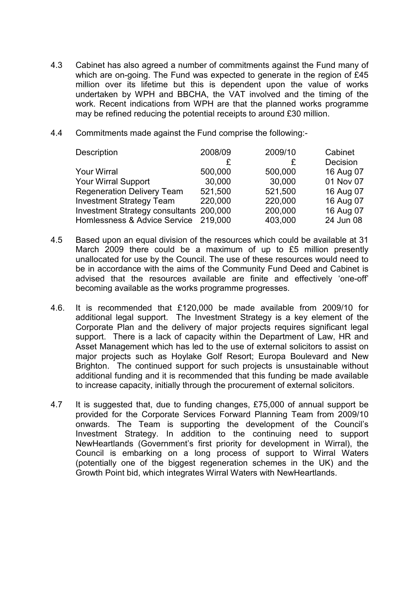- 4.3 Cabinet has also agreed a number of commitments against the Fund many of which are on-going. The Fund was expected to generate in the region of £45 million over its lifetime but this is dependent upon the value of works undertaken by WPH and BBCHA, the VAT involved and the timing of the work. Recent indications from WPH are that the planned works programme may be refined reducing the potential receipts to around £30 million.
- 4.4 Commitments made against the Fund comprise the following:-

| Description                             | 2008/09 | 2009/10 | Cabinet   |
|-----------------------------------------|---------|---------|-----------|
|                                         | £       |         | Decision  |
| <b>Your Wirral</b>                      | 500,000 | 500,000 | 16 Aug 07 |
| <b>Your Wirral Support</b>              | 30,000  | 30,000  | 01 Nov 07 |
| <b>Regeneration Delivery Team</b>       | 521,500 | 521,500 | 16 Aug 07 |
| <b>Investment Strategy Team</b>         | 220,000 | 220,000 | 16 Aug 07 |
| Investment Strategy consultants 200,000 |         | 200,000 | 16 Aug 07 |
| Homlessness & Advice Service 219,000    |         | 403,000 | 24 Jun 08 |
|                                         |         |         |           |

- 4.5 Based upon an equal division of the resources which could be available at 31 March 2009 there could be a maximum of up to £5 million presently unallocated for use by the Council. The use of these resources would need to be in accordance with the aims of the Community Fund Deed and Cabinet is advised that the resources available are finite and effectively 'one-off' becoming available as the works programme progresses.
- 4.6. It is recommended that £120,000 be made available from 2009/10 for additional legal support. The Investment Strategy is a key element of the Corporate Plan and the delivery of major projects requires significant legal support. There is a lack of capacity within the Department of Law, HR and Asset Management which has led to the use of external solicitors to assist on major projects such as Hoylake Golf Resort; Europa Boulevard and New Brighton. The continued support for such projects is unsustainable without additional funding and it is recommended that this funding be made available to increase capacity, initially through the procurement of external solicitors.
- 4.7 It is suggested that, due to funding changes, £75,000 of annual support be provided for the Corporate Services Forward Planning Team from 2009/10 onwards. The Team is supporting the development of the Council's Investment Strategy. In addition to the continuing need to support NewHeartlands (Government's first priority for development in Wirral), the Council is embarking on a long process of support to Wirral Waters (potentially one of the biggest regeneration schemes in the UK) and the Growth Point bid, which integrates Wirral Waters with NewHeartlands.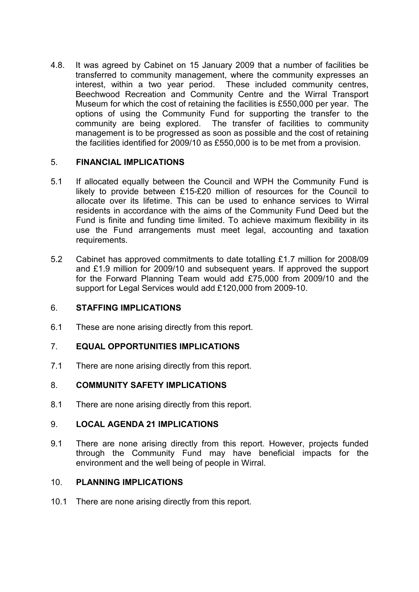4.8. It was agreed by Cabinet on 15 January 2009 that a number of facilities be transferred to community management, where the community expresses an interest, within a two year period. These included community centres, Beechwood Recreation and Community Centre and the Wirral Transport Museum for which the cost of retaining the facilities is £550,000 per year. The options of using the Community Fund for supporting the transfer to the community are being explored. The transfer of facilities to community management is to be progressed as soon as possible and the cost of retaining the facilities identified for 2009/10 as £550,000 is to be met from a provision.

# 5. FINANCIAL IMPLICATIONS

- 5.1 If allocated equally between the Council and WPH the Community Fund is likely to provide between £15-£20 million of resources for the Council to allocate over its lifetime. This can be used to enhance services to Wirral residents in accordance with the aims of the Community Fund Deed but the Fund is finite and funding time limited. To achieve maximum flexibility in its use the Fund arrangements must meet legal, accounting and taxation requirements.
- 5.2 Cabinet has approved commitments to date totalling £1.7 million for 2008/09 and £1.9 million for 2009/10 and subsequent years. If approved the support for the Forward Planning Team would add £75,000 from 2009/10 and the support for Legal Services would add £120,000 from 2009-10.

# 6. STAFFING IMPLICATIONS

6.1 These are none arising directly from this report.

# 7. EQUAL OPPORTUNITIES IMPLICATIONS

7.1 There are none arising directly from this report.

### 8. COMMUNITY SAFETY IMPLICATIONS

8.1 There are none arising directly from this report.

### 9. LOCAL AGENDA 21 IMPLICATIONS

9.1 There are none arising directly from this report. However, projects funded through the Community Fund may have beneficial impacts for the environment and the well being of people in Wirral.

# 10. PLANNING IMPLICATIONS

10.1 There are none arising directly from this report.